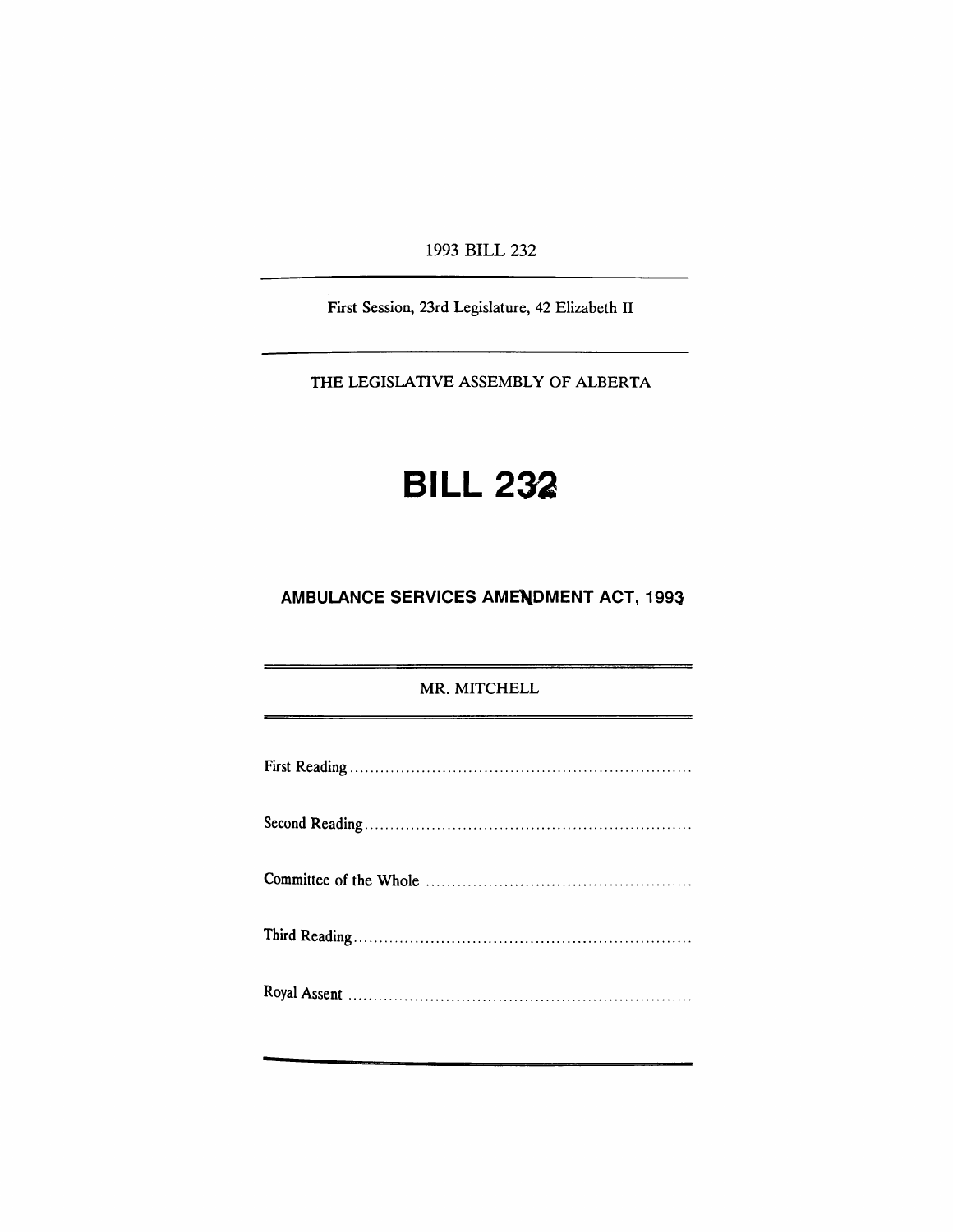1993 BILL 232

First Session, 23rd Legislature, 42 Elizabeth II

THE LEGISLATIVE ASSEMBLY OF ALBERTA

# **BILL 232**

## **AMBULANCE SERVICES AMENDMENT ACT, 1993**

### MR. MITCHELL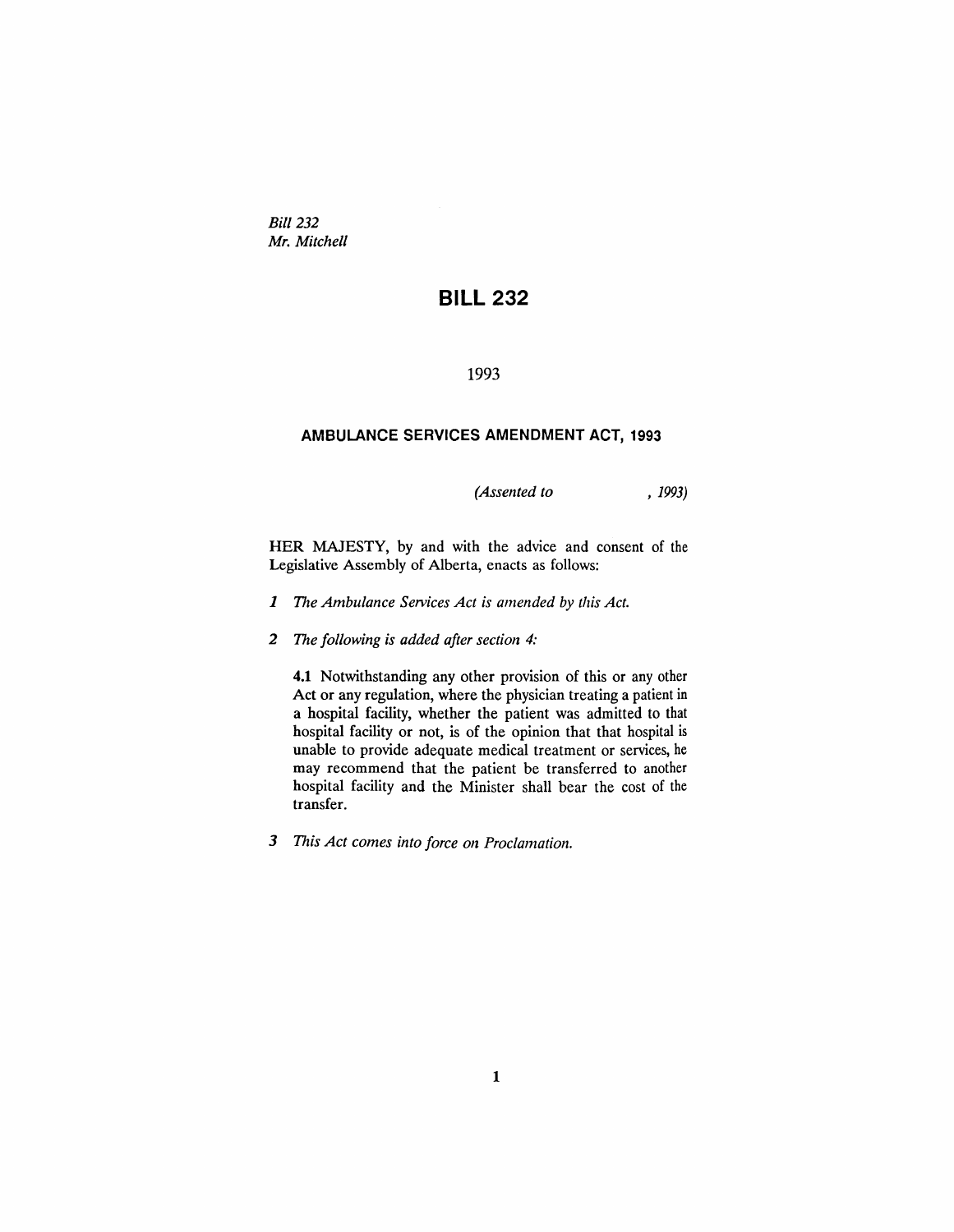*Bill 232 Mr. Mitchell*

## **BILL 232**

#### 1993

#### **AMBULANCE SERVICES AMENDMENT ACT, 1993**

*(Assented to* , 1993)

HER MAJESTY, by and with the advice and consent of the Legislative Assembly of Alberta, enacts as follows:

- *1 The Ambulance Services Act is amended by this Act.*
- *2 The following is added after section 4:*

**4.1** Notwithstanding any other provision of this or any other Act or any regulation, where the physician treating a patient in a hospital facility, whether the patient was admitted to that hospital facility or not, is of the opinion that that hospital is unable to provide adequate medical treatment or services, he may recommend that the patient be transferred to another hospital facility and the Minister shall bear the cost of the transfer.

*3 This Act comes into force on Proclamation.*